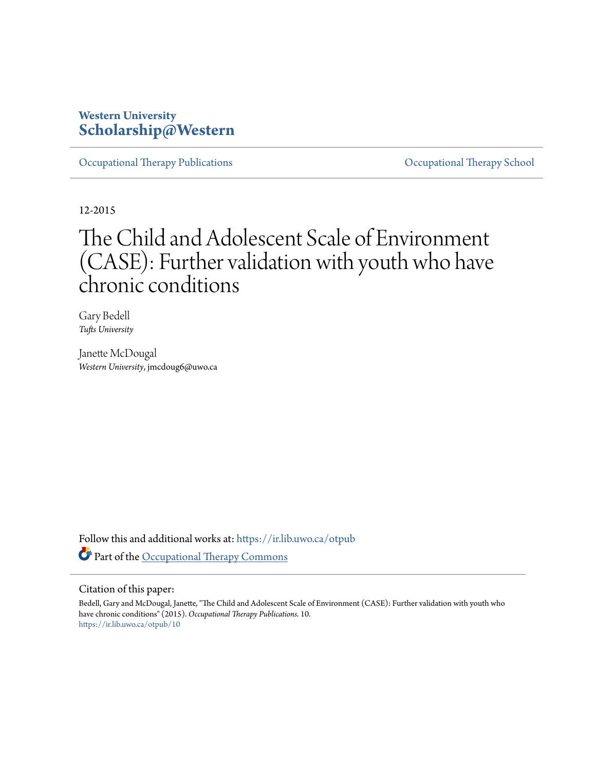# **Western University [Scholarship@Western](https://ir.lib.uwo.ca?utm_source=ir.lib.uwo.ca%2Fotpub%2F10&utm_medium=PDF&utm_campaign=PDFCoverPages)**

[Occupational Therapy Publications](https://ir.lib.uwo.ca/otpub?utm_source=ir.lib.uwo.ca%2Fotpub%2F10&utm_medium=PDF&utm_campaign=PDFCoverPages) [Occupational Therapy School](https://ir.lib.uwo.ca/ot?utm_source=ir.lib.uwo.ca%2Fotpub%2F10&utm_medium=PDF&utm_campaign=PDFCoverPages)

12-2015

# The Child and Adolescent Scale of Environment (CASE): Further validation with youth who have chronic conditions

Gary Bedell *Tufts University*

Janette McDougal *Western University*, jmcdoug6@uwo.ca

Follow this and additional works at: [https://ir.lib.uwo.ca/otpub](https://ir.lib.uwo.ca/otpub?utm_source=ir.lib.uwo.ca%2Fotpub%2F10&utm_medium=PDF&utm_campaign=PDFCoverPages) Part of the [Occupational Therapy Commons](http://network.bepress.com/hgg/discipline/752?utm_source=ir.lib.uwo.ca%2Fotpub%2F10&utm_medium=PDF&utm_campaign=PDFCoverPages)

# Citation of this paper:

Bedell, Gary and McDougal, Janette, "The Child and Adolescent Scale of Environment (CASE): Further validation with youth who have chronic conditions" (2015). *Occupational Therapy Publications*. 10. [https://ir.lib.uwo.ca/otpub/10](https://ir.lib.uwo.ca/otpub/10?utm_source=ir.lib.uwo.ca%2Fotpub%2F10&utm_medium=PDF&utm_campaign=PDFCoverPages)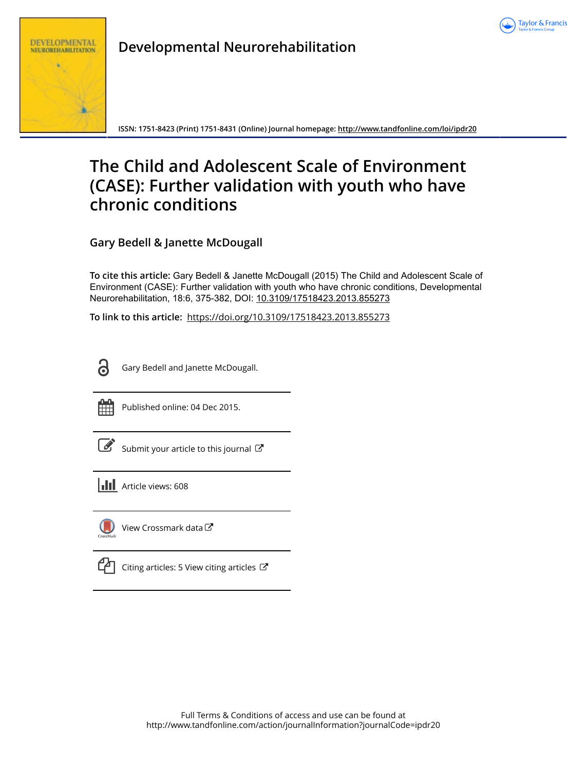



**Developmental Neurorehabilitation**

**ISSN: 1751-8423 (Print) 1751-8431 (Online) Journal homepage:<http://www.tandfonline.com/loi/ipdr20>**

# **The Child and Adolescent Scale of Environment (CASE): Further validation with youth who have chronic conditions**

**Gary Bedell & Janette McDougall**

**To cite this article:** Gary Bedell & Janette McDougall (2015) The Child and Adolescent Scale of Environment (CASE): Further validation with youth who have chronic conditions, Developmental Neurorehabilitation, 18:6, 375-382, DOI: [10.3109/17518423.2013.855273](http://www.tandfonline.com/action/showCitFormats?doi=10.3109/17518423.2013.855273)

**To link to this article:** <https://doi.org/10.3109/17518423.2013.855273>

Gary Bedell and Janette McDougall.



Published online: 04 Dec 2015.

| ł |
|---|
|---|

[Submit your article to this journal](http://www.tandfonline.com/action/authorSubmission?journalCode=ipdr20&show=instructions)  $\mathbb{Z}$ 

**III** Article views: 608



[View Crossmark data](http://crossmark.crossref.org/dialog/?doi=10.3109/17518423.2013.855273&domain=pdf&date_stamp=2015-12-04)<sup>C</sup>

 $\mathbb{C}$  [Citing articles: 5 View citing articles](http://www.tandfonline.com/doi/citedby/10.3109/17518423.2013.855273#tabModule)  $\mathbb{C}$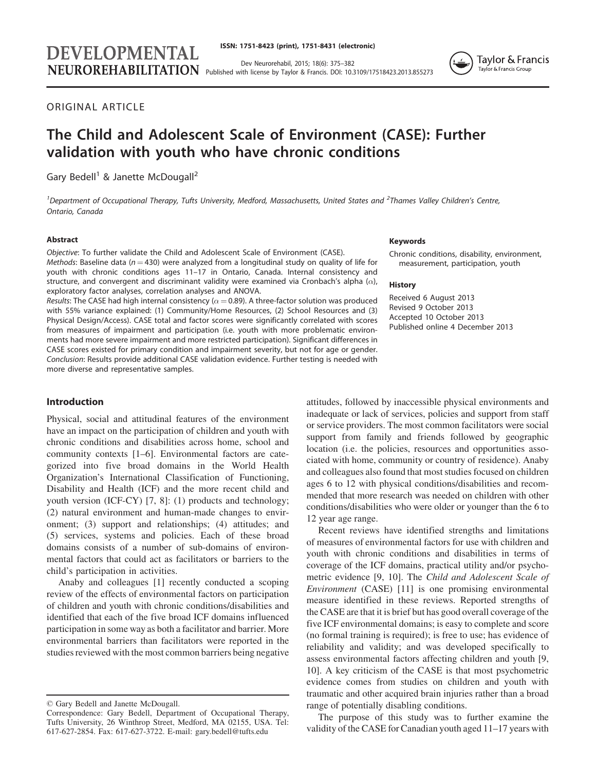Dev Neurorehabil, 2015; 18(6): 375–382 NEUROREHABILITATION Published with license by Taylor & Francis. DOI: 10.3109/17518423.2013.855273



ORIGINAL ARTICLE

# The Child and Adolescent Scale of Environment (CASE): Further validation with youth who have chronic conditions

Gary Bedell<sup>1</sup> & Janette McDougall<sup>2</sup>

DEVELOPMENTAL

<sup>1</sup> Department of Occupational Therapy, Tufts University, Medford, Massachusetts, United States and <sup>2</sup>Thames Valley Children's Centre, Ontario, Canada

## Abstract

Objective: To further validate the Child and Adolescent Scale of Environment (CASE). Methods: Baseline data ( $n = 430$ ) were analyzed from a longitudinal study on quality of life for youth with chronic conditions ages 11–17 in Ontario, Canada. Internal consistency and structure, and convergent and discriminant validity were examined via Cronbach's alpha  $(\alpha)$ , exploratory factor analyses, correlation analyses and ANOVA.

*Results*: The CASE had high internal consistency ( $\alpha$  = 0.89). A three-factor solution was produced with 55% variance explained: (1) Community/Home Resources, (2) School Resources and (3) Physical Design/Access). CASE total and factor scores were significantly correlated with scores from measures of impairment and participation (i.e. youth with more problematic environments had more severe impairment and more restricted participation). Significant differences in CASE scores existed for primary condition and impairment severity, but not for age or gender. Conclusion: Results provide additional CASE validation evidence. Further testing is needed with more diverse and representative samples.

#### Introduction

Physical, social and attitudinal features of the environment have an impact on the participation of children and youth with chronic conditions and disabilities across home, school and community contexts [[1–6\]](#page-9-0). Environmental factors are categorized into five broad domains in the World Health Organization's International Classification of Functioning, Disability and Health (ICF) and the more recent child and youth version (ICF-CY) [[7, 8](#page-9-0)]: (1) products and technology; (2) natural environment and human-made changes to environment; (3) support and relationships; (4) attitudes; and (5) services, systems and policies. Each of these broad domains consists of a number of sub-domains of environmental factors that could act as facilitators or barriers to the child's participation in activities.

Anaby and colleagues [\[1](#page-9-0)] recently conducted a scoping review of the effects of environmental factors on participation of children and youth with chronic conditions/disabilities and identified that each of the five broad ICF domains influenced participation in some way as both a facilitator and barrier. More environmental barriers than facilitators were reported in the studies reviewed with the most common barriers being negative

#### Keywords

Chronic conditions, disability, environment, measurement, participation, youth

#### **History**

Received 6 August 2013 Revised 9 October 2013 Accepted 10 October 2013 Published online 4 December 2013

attitudes, followed by inaccessible physical environments and inadequate or lack of services, policies and support from staff or service providers. The most common facilitators were social support from family and friends followed by geographic location (i.e. the policies, resources and opportunities associated with home, community or country of residence). Anaby and colleagues also found that most studies focused on children ages 6 to 12 with physical conditions/disabilities and recommended that more research was needed on children with other conditions/disabilities who were older or younger than the 6 to 12 year age range.

Recent reviews have identified strengths and limitations of measures of environmental factors for use with children and youth with chronic conditions and disabilities in terms of coverage of the ICF domains, practical utility and/or psychometric evidence [[9, 10](#page-9-0)]. The Child and Adolescent Scale of Environment (CASE) [\[11](#page-9-0)] is one promising environmental measure identified in these reviews. Reported strengths of the CASE are that it is brief but has good overall coverage of the five ICF environmental domains; is easy to complete and score (no formal training is required); is free to use; has evidence of reliability and validity; and was developed specifically to assess environmental factors affecting children and youth [\[9](#page-9-0), [10\]](#page-9-0). A key criticism of the CASE is that most psychometric evidence comes from studies on children and youth with traumatic and other acquired brain injuries rather than a broad range of potentially disabling conditions.

The purpose of this study was to further examine the validity of the CASE for Canadian youth aged 11–17 years with

 $©$  Gary Bedell and Janette McDougall.

Correspondence: Gary Bedell, Department of Occupational Therapy, Tufts University, 26 Winthrop Street, Medford, MA 02155, USA. Tel: 617-627-2854. Fax: 617-627-3722. E-mail: gary.bedell@tufts.edu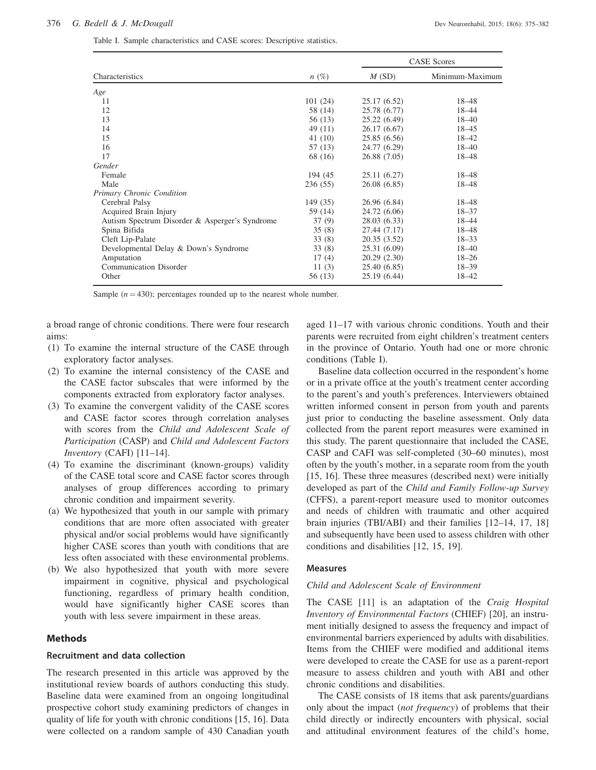<span id="page-3-0"></span>

|  |  | Table I. Sample characteristics and CASE scores: Descriptive statistics. |  |  |  |  |  |
|--|--|--------------------------------------------------------------------------|--|--|--|--|--|
|--|--|--------------------------------------------------------------------------|--|--|--|--|--|

|                                                |          | <b>CASE</b> Scores |                 |  |
|------------------------------------------------|----------|--------------------|-----------------|--|
| Characteristics                                | $n(\%)$  | M(SD)              | Minimum-Maximum |  |
| Age                                            |          |                    |                 |  |
| 11                                             | 101(24)  | 25.17 (6.52)       | $18 - 48$       |  |
| 12                                             | 58 (14)  | 25.78 (6.77)       | 18-44           |  |
| 13                                             | 56 (13)  | 25.22(6.49)        | $18 - 40$       |  |
| 14                                             | 49(11)   | 26.17(6.67)        | $18 - 45$       |  |
| 15                                             | 41(10)   | 25.85(6.56)        | $18 - 42$       |  |
| 16                                             | 57 (13)  | 24.77 (6.29)       | $18 - 40$       |  |
| 17                                             | 68 (16)  | 26.88 (7.05)       | 18-48           |  |
| Gender                                         |          |                    |                 |  |
| Female                                         | 194 (45) | 25.11(6.27)        | $18 - 48$       |  |
| Male                                           | 236(55)  | 26.08(6.85)        | 18-48           |  |
| Primary Chronic Condition                      |          |                    |                 |  |
| Cerebral Palsy                                 | 149 (35) | 26.96 (6.84)       | 18-48           |  |
| Acquired Brain Injury                          | 59 (14)  | 24.72 (6.06)       | $18 - 37$       |  |
| Autism Spectrum Disorder & Asperger's Syndrome | 37(9)    | 28.03 (6.33)       | 18-44           |  |
| Spina Bifida                                   | 35(8)    | 27.44 (7.17)       | 18-48           |  |
| Cleft Lip-Palate                               | 33(8)    | 20.35(3.52)        | $18 - 33$       |  |
| Developmental Delay & Down's Syndrome          | 33(8)    | 25.31 (6.09)       | $18 - 40$       |  |
| Amputation                                     | 17(4)    | 20.29(2.30)        | $18 - 26$       |  |
| <b>Communication Disorder</b>                  | 11(3)    | 25.40 (6.85)       | $18 - 39$       |  |
| Other                                          | 56 (13)  | 25.19 (6.44)       | 18-42           |  |

Sample  $(n = 430)$ ; percentages rounded up to the nearest whole number.

a broad range of chronic conditions. There were four research aims:

- (1) To examine the internal structure of the CASE through exploratory factor analyses.
- (2) To examine the internal consistency of the CASE and the CASE factor subscales that were informed by the components extracted from exploratory factor analyses.
- (3) To examine the convergent validity of the CASE scores and CASE factor scores through correlation analyses with scores from the Child and Adolescent Scale of Participation (CASP) and Child and Adolescent Factors Inventory (CAFI) [\[11–14](#page-9-0)].
- (4) To examine the discriminant (known-groups) validity of the CASE total score and CASE factor scores through analyses of group differences according to primary chronic condition and impairment severity.
- (a) We hypothesized that youth in our sample with primary conditions that are more often associated with greater physical and/or social problems would have significantly higher CASE scores than youth with conditions that are less often associated with these environmental problems.
- (b) We also hypothesized that youth with more severe impairment in cognitive, physical and psychological functioning, regardless of primary health condition, would have significantly higher CASE scores than youth with less severe impairment in these areas.

## Methods

#### Recruitment and data collection

The research presented in this article was approved by the institutional review boards of authors conducting this study. Baseline data were examined from an ongoing longitudinal prospective cohort study examining predictors of changes in quality of life for youth with chronic conditions [[15, 16\]](#page-9-0). Data were collected on a random sample of 430 Canadian youth

aged 11–17 with various chronic conditions. Youth and their parents were recruited from eight children's treatment centers in the province of Ontario. Youth had one or more chronic conditions (Table I).

Baseline data collection occurred in the respondent's home or in a private office at the youth's treatment center according to the parent's and youth's preferences. Interviewers obtained written informed consent in person from youth and parents just prior to conducting the baseline assessment. Only data collected from the parent report measures were examined in this study. The parent questionnaire that included the CASE, CASP and CAFI was self-completed (30–60 minutes), most often by the youth's mother, in a separate room from the youth [\[15](#page-9-0), [16](#page-9-0)]. These three measures (described next) were initially developed as part of the Child and Family Follow-up Survey (CFFS), a parent-report measure used to monitor outcomes and needs of children with traumatic and other acquired brain injuries (TBI/ABI) and their families [\[12–14](#page-9-0), [17, 18\]](#page-9-0) and subsequently have been used to assess children with other conditions and disabilities [[12](#page-9-0), [15](#page-9-0), [19](#page-9-0)].

#### Measures

#### Child and Adolescent Scale of Environment

The CASE [\[11](#page-9-0)] is an adaptation of the Craig Hospital Inventory of Environmental Factors (CHIEF) [\[20](#page-9-0)], an instrument initially designed to assess the frequency and impact of environmental barriers experienced by adults with disabilities. Items from the CHIEF were modified and additional items were developed to create the CASE for use as a parent-report measure to assess children and youth with ABI and other chronic conditions and disabilities.

The CASE consists of 18 items that ask parents/guardians only about the impact (not frequency) of problems that their child directly or indirectly encounters with physical, social and attitudinal environment features of the child's home,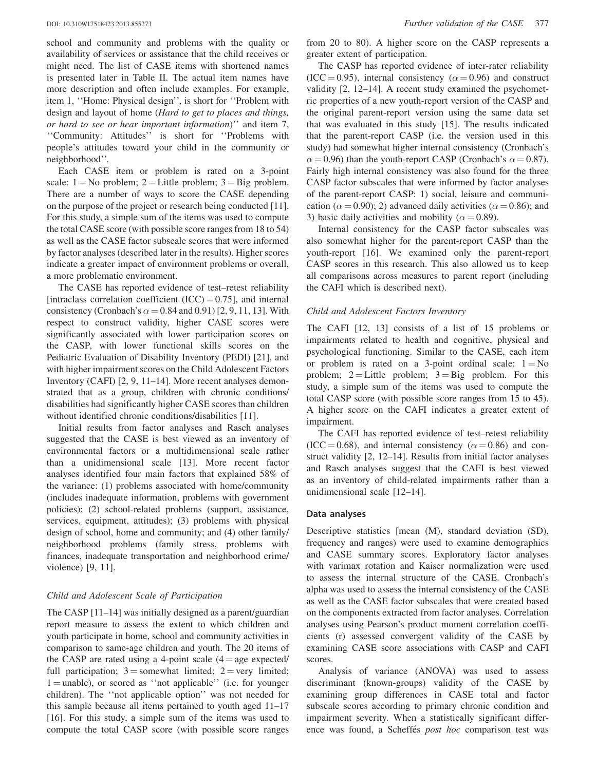school and community and problems with the quality or availability of services or assistance that the child receives or might need. The list of CASE items with shortened names is presented later in [Table II.](#page-5-0) The actual item names have more description and often include examples. For example, item 1, ''Home: Physical design'', is short for ''Problem with design and layout of home (Hard to get to places and things, or hard to see or hear important information)'' and item 7, ''Community: Attitudes'' is short for ''Problems with people's attitudes toward your child in the community or neighborhood''.

Each CASE item or problem is rated on a 3-point scale:  $1 = No$  problem;  $2 =$  Little problem;  $3 =$  Big problem. There are a number of ways to score the CASE depending on the purpose of the project or research being conducted [\[11](#page-9-0)]. For this study, a simple sum of the items was used to compute the total CASE score (with possible score ranges from 18 to 54) as well as the CASE factor subscale scores that were informed by factor analyses (described later in the results). Higher scores indicate a greater impact of environment problems or overall, a more problematic environment.

The CASE has reported evidence of test–retest reliability [intraclass correlation coefficient  $(ICC) = 0.75$ ], and internal consistency (Cronbach's  $\alpha = 0.84$  and 0.91) [\[2](#page-9-0), [9, 11](#page-9-0), [13](#page-9-0)]. With respect to construct validity, higher CASE scores were significantly associated with lower participation scores on the CASP, with lower functional skills scores on the Pediatric Evaluation of Disability Inventory (PEDI) [[21\]](#page-9-0), and with higher impairment scores on the Child Adolescent Factors Inventory (CAFI) [\[2](#page-9-0), [9](#page-9-0), [11–14](#page-9-0)]. More recent analyses demonstrated that as a group, children with chronic conditions/ disabilities had significantly higher CASE scores than children without identified chronic conditions/disabilities [\[11\]](#page-9-0).

Initial results from factor analyses and Rasch analyses suggested that the CASE is best viewed as an inventory of environmental factors or a multidimensional scale rather than a unidimensional scale [[13\]](#page-9-0). More recent factor analyses identified four main factors that explained 58% of the variance: (1) problems associated with home/community (includes inadequate information, problems with government policies); (2) school-related problems (support, assistance, services, equipment, attitudes); (3) problems with physical design of school, home and community; and (4) other family/ neighborhood problems (family stress, problems with finances, inadequate transportation and neighborhood crime/ violence) [[9, 11](#page-9-0)].

## Child and Adolescent Scale of Participation

The CASP [\[11–14](#page-9-0)] was initially designed as a parent/guardian report measure to assess the extent to which children and youth participate in home, school and community activities in comparison to same-age children and youth. The 20 items of the CASP are rated using a 4-point scale  $(4 = age$  expected/ full participation;  $3 =$ somewhat limited;  $2 =$ very limited;  $1 =$ unable), or scored as "not applicable" (i.e. for younger children). The ''not applicable option'' was not needed for this sample because all items pertained to youth aged 11–17 [\[16](#page-9-0)]. For this study, a simple sum of the items was used to compute the total CASP score (with possible score ranges from 20 to 80). A higher score on the CASP represents a greater extent of participation.

The CASP has reported evidence of inter-rater reliability  $(ICC = 0.95)$ , internal consistency  $(\alpha = 0.96)$  and construct validity [[2, 12–14](#page-9-0)]. A recent study examined the psychometric properties of a new youth-report version of the CASP and the original parent-report version using the same data set that was evaluated in this study [[15\]](#page-9-0). The results indicated that the parent-report CASP (i.e. the version used in this study) had somewhat higher internal consistency (Cronbach's  $\alpha$  = 0.96) than the youth-report CASP (Cronbach's  $\alpha$  = 0.87). Fairly high internal consistency was also found for the three CASP factor subscales that were informed by factor analyses of the parent-report CASP: 1) social, leisure and communication ( $\alpha$  = 0.90); 2) advanced daily activities ( $\alpha$  = 0.86); and 3) basic daily activities and mobility ( $\alpha = 0.89$ ).

Internal consistency for the CASP factor subscales was also somewhat higher for the parent-report CASP than the youth-report [[16\]](#page-9-0). We examined only the parent-report CASP scores in this research. This also allowed us to keep all comparisons across measures to parent report (including the CAFI which is described next).

#### Child and Adolescent Factors Inventory

The CAFI [\[12](#page-9-0), [13](#page-9-0)] consists of a list of 15 problems or impairments related to health and cognitive, physical and psychological functioning. Similar to the CASE, each item or problem is rated on a 3-point ordinal scale:  $1 = No$ problem;  $2 =$  Little problem;  $3 =$  Big problem. For this study, a simple sum of the items was used to compute the total CASP score (with possible score ranges from 15 to 45). A higher score on the CAFI indicates a greater extent of impairment.

The CAFI has reported evidence of test–retest reliability  $(ICC = 0.68)$ , and internal consistency  $(\alpha = 0.86)$  and construct validity [\[2](#page-9-0), [12–14\]](#page-9-0). Results from initial factor analyses and Rasch analyses suggest that the CAFI is best viewed as an inventory of child-related impairments rather than a unidimensional scale [\[12–14](#page-9-0)].

#### Data analyses

Descriptive statistics [mean (M), standard deviation (SD), frequency and ranges) were used to examine demographics and CASE summary scores. Exploratory factor analyses with varimax rotation and Kaiser normalization were used to assess the internal structure of the CASE. Cronbach's alpha was used to assess the internal consistency of the CASE as well as the CASE factor subscales that were created based on the components extracted from factor analyses. Correlation analyses using Pearson's product moment correlation coefficients (r) assessed convergent validity of the CASE by examining CASE score associations with CASP and CAFI scores.

Analysis of variance (ANOVA) was used to assess discriminant (known-groups) validity of the CASE by examining group differences in CASE total and factor subscale scores according to primary chronic condition and impairment severity. When a statistically significant difference was found, a Scheffés post hoc comparison test was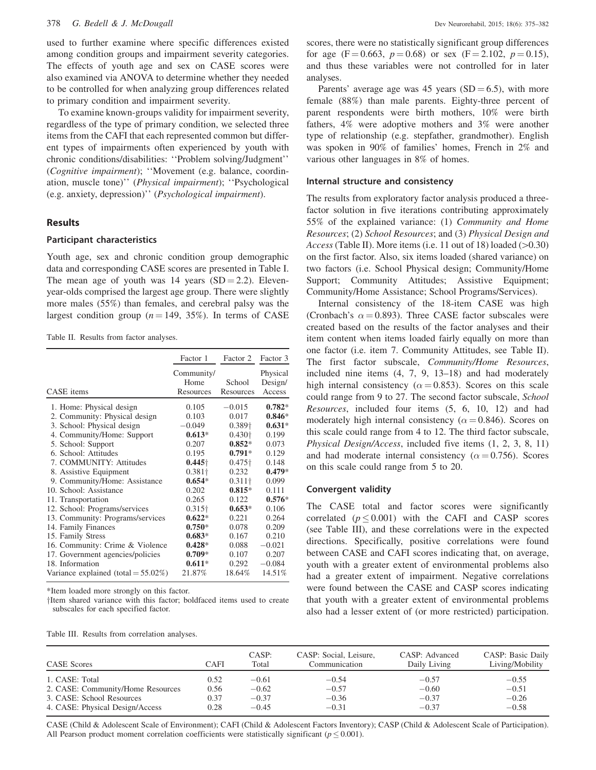#### <span id="page-5-0"></span>378 G. Bedell & J. McDougall Dev Neurorehabil, 2015; 18(6): 375–382

used to further examine where specific differences existed among condition groups and impairment severity categories. The effects of youth age and sex on CASE scores were also examined via ANOVA to determine whether they needed to be controlled for when analyzing group differences related to primary condition and impairment severity.

To examine known-groups validity for impairment severity, regardless of the type of primary condition, we selected three items from the CAFI that each represented common but different types of impairments often experienced by youth with chronic conditions/disabilities: ''Problem solving/Judgment'' (Cognitive impairment); ''Movement (e.g. balance, coordination, muscle tone)'' (Physical impairment); ''Psychological (e.g. anxiety, depression)'' (Psychological impairment).

## Results

#### Participant characteristics

Youth age, sex and chronic condition group demographic data and corresponding CASE scores are presented in [Table I](#page-3-0). The mean age of youth was 14 years  $(SD = 2.2)$ . Elevenyear-olds comprised the largest age group. There were slightly more males (55%) than females, and cerebral palsy was the largest condition group ( $n = 149, 35\%$ ). In terms of CASE

Table II. Results from factor analyses.

|                                        | Factor 1                        | Factor 2                   | Factor 3                      |
|----------------------------------------|---------------------------------|----------------------------|-------------------------------|
| CASE items                             | Community/<br>Home<br>Resources | School<br><b>Resources</b> | Physical<br>Design/<br>Access |
| 1. Home: Physical design               | 0.105                           | $-0.015$                   | $0.782*$                      |
| 2. Community: Physical design          | 0.103                           | 0.017                      | $0.846*$                      |
| 3. School: Physical design             | $-0.049$                        | $0.389\dagger$             | $0.631*$                      |
| 4. Community/Home: Support             | $0.613*$                        | $0.430+$                   | 0.199                         |
| 5. School: Support                     | 0.207                           | $0.852*$                   | 0.073                         |
| 6. School: Attitudes                   | 0.195                           | $0.791*$                   | 0.129                         |
| 7. COMMUNITY: Attitudes                | $0.445\dagger$                  | $0.475\dagger$             | 0.148                         |
| 8. Assistive Equipment                 | $0.381\dagger$                  | 0.232                      | $0.479*$                      |
| 9. Community/Home: Assistance          | $0.654*$                        | $0.311\dagger$             | 0.099                         |
| 10. School: Assistance                 | 0.202                           | $0.815*$                   | 0.111                         |
| 11. Transportation                     | 0.265                           | 0.122                      | $0.576*$                      |
| 12. School: Programs/services          | $0.315\dagger$                  | $0.653*$                   | 0.106                         |
| 13. Community: Programs/services       | $0.622*$                        | 0.221                      | 0.264                         |
| 14. Family Finances                    | $0.750*$                        | 0.078                      | 0.209                         |
| 15. Family Stress                      | $0.683*$                        | 0.167                      | 0.210                         |
| 16. Community: Crime & Violence        | $0.428*$                        | 0.088                      | $-0.021$                      |
| 17. Government agencies/policies       | $0.709*$                        | 0.107                      | 0.207                         |
| 18. Information                        | $0.611*$                        | 0.292                      | $-0.084$                      |
| Variance explained (total $= 55.02\%)$ | 21.87%                          | 18.64%                     | 14.51%                        |
|                                        |                                 |                            |                               |

\*Item loaded more strongly on this factor.

them shared variance with this factor; boldfaced items used to create subscales for each specified factor.

Table III. Results from correlation analyses.

scores, there were no statistically significant group differences for age (F = 0.663,  $p = 0.68$ ) or sex (F = 2.102,  $p = 0.15$ ), and thus these variables were not controlled for in later analyses.

Parents' average age was 45 years  $(SD = 6.5)$ , with more female (88%) than male parents. Eighty-three percent of parent respondents were birth mothers, 10% were birth fathers, 4% were adoptive mothers and 3% were another type of relationship (e.g. stepfather, grandmother). English was spoken in 90% of families' homes, French in 2% and various other languages in 8% of homes.

# Internal structure and consistency

The results from exploratory factor analysis produced a threefactor solution in five iterations contributing approximately 55% of the explained variance: (1) Community and Home Resources; (2) School Resources; and (3) Physical Design and Access (Table II). More items (i.e. 11 out of 18) loaded  $(>0.30)$ on the first factor. Also, six items loaded (shared variance) on two factors (i.e. School Physical design; Community/Home Support; Community Attitudes; Assistive Equipment; Community/Home Assistance; School Programs/Services).

Internal consistency of the 18-item CASE was high (Cronbach's  $\alpha = 0.893$ ). Three CASE factor subscales were created based on the results of the factor analyses and their item content when items loaded fairly equally on more than one factor (i.e. item 7. Community Attitudes, see Table II). The first factor subscale, Community/Home Resources, included nine items (4, 7, 9, 13–18) and had moderately high internal consistency ( $\alpha = 0.853$ ). Scores on this scale could range from 9 to 27. The second factor subscale, School Resources, included four items (5, 6, 10, 12) and had moderately high internal consistency ( $\alpha = 0.846$ ). Scores on this scale could range from 4 to 12. The third factor subscale, Physical Design/Access, included five items (1, 2, 3, 8, 11) and had moderate internal consistency ( $\alpha = 0.756$ ). Scores on this scale could range from 5 to 20.

#### Convergent validity

The CASE total and factor scores were significantly correlated ( $p \le 0.001$ ) with the CAFI and CASP scores (see Table III), and these correlations were in the expected directions. Specifically, positive correlations were found between CASE and CAFI scores indicating that, on average, youth with a greater extent of environmental problems also had a greater extent of impairment. Negative correlations were found between the CASE and CASP scores indicating that youth with a greater extent of environmental problems also had a lesser extent of (or more restricted) participation.

| <b>CASE</b> Scores                | CAFI | CASP:<br>Total | CASP: Social, Leisure,<br>Communication | CASP: Advanced<br>Daily Living | CASP: Basic Daily<br>Living/Mobility |
|-----------------------------------|------|----------------|-----------------------------------------|--------------------------------|--------------------------------------|
| 1. CASE: Total                    | 0.52 | $-0.61$        | $-0.54$                                 | $-0.57$                        | $-0.55$                              |
| 2. CASE: Community/Home Resources | 0.56 | $-0.62$        | $-0.57$                                 | $-0.60$                        | $-0.51$                              |
| 3. CASE: School Resources         | 0.37 | $-0.37$        | $-0.36$                                 | $-0.37$                        | $-0.26$                              |
| 4. CASE: Physical Design/Access   | 0.28 | $-0.45$        | $-0.31$                                 | $-0.37$                        | $-0.58$                              |

CASE (Child & Adolescent Scale of Environment); CAFI (Child & Adolescent Factors Inventory); CASP (Child & Adolescent Scale of Participation). All Pearson product moment correlation coefficients were statistically significant ( $p \leq 0.001$ ).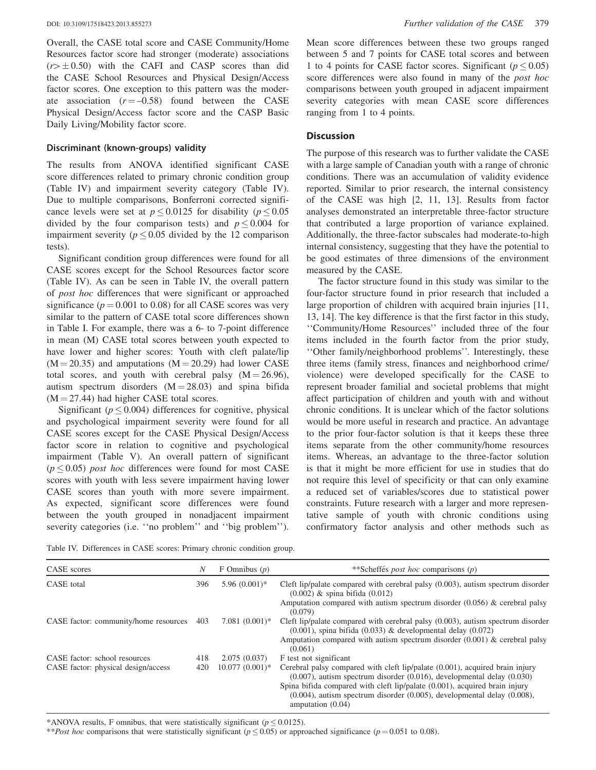Overall, the CASE total score and CASE Community/Home Resources factor score had stronger (moderate) associations  $(r> \pm 0.50)$  with the CAFI and CASP scores than did the CASE School Resources and Physical Design/Access factor scores. One exception to this pattern was the moderate association  $(r = -0.58)$  found between the CASE Physical Design/Access factor score and the CASP Basic Daily Living/Mobility factor score.

#### Discriminant (known-groups) validity

The results from ANOVA identified significant CASE score differences related to primary chronic condition group (Table IV) and impairment severity category (Table IV). Due to multiple comparisons, Bonferroni corrected significance levels were set at  $p \le 0.0125$  for disability ( $p \le 0.05$ ) divided by the four comparison tests) and  $p \le 0.004$  for impairment severity ( $p \leq 0.05$  divided by the 12 comparison tests).

Significant condition group differences were found for all CASE scores except for the School Resources factor score (Table IV). As can be seen in Table IV, the overall pattern of post hoc differences that were significant or approached significance ( $p = 0.001$  to 0.08) for all CASE scores was very similar to the pattern of CASE total score differences shown in [Table I.](#page-3-0) For example, there was a 6- to 7-point difference in mean (M) CASE total scores between youth expected to have lower and higher scores: Youth with cleft palate/lip  $(M = 20.35)$  and amputations  $(M = 20.29)$  had lower CASE total scores, and youth with cerebral palsy  $(M = 26.96)$ , autism spectrum disorders  $(M = 28.03)$  and spina bifida  $(M = 27.44)$  had higher CASE total scores.

Significant ( $p \le 0.004$ ) differences for cognitive, physical and psychological impairment severity were found for all CASE scores except for the CASE Physical Design/Access factor score in relation to cognitive and psychological impairment ([Table V\)](#page-7-0). An overall pattern of significant  $(p \le 0.05)$  *post hoc* differences were found for most CASE scores with youth with less severe impairment having lower CASE scores than youth with more severe impairment. As expected, significant score differences were found between the youth grouped in nonadjacent impairment severity categories (i.e. "no problem" and "big problem"). Mean score differences between these two groups ranged between 5 and 7 points for CASE total scores and between 1 to 4 points for CASE factor scores. Significant ( $p \le 0.05$ ) score differences were also found in many of the post hoc comparisons between youth grouped in adjacent impairment severity categories with mean CASE score differences ranging from 1 to 4 points.

# **Discussion**

The purpose of this research was to further validate the CASE with a large sample of Canadian youth with a range of chronic conditions. There was an accumulation of validity evidence reported. Similar to prior research, the internal consistency of the CASE was high [\[2](#page-9-0), [11](#page-9-0), [13\]](#page-9-0). Results from factor analyses demonstrated an interpretable three-factor structure that contributed a large proportion of variance explained. Additionally, the three-factor subscales had moderate-to-high internal consistency, suggesting that they have the potential to be good estimates of three dimensions of the environment measured by the CASE.

The factor structure found in this study was similar to the four-factor structure found in prior research that included a large proportion of children with acquired brain injuries [\[11](#page-9-0), [13, 14\]](#page-9-0). The key difference is that the first factor in this study, ''Community/Home Resources'' included three of the four items included in the fourth factor from the prior study, ''Other family/neighborhood problems''. Interestingly, these three items (family stress, finances and neighborhood crime/ violence) were developed specifically for the CASE to represent broader familial and societal problems that might affect participation of children and youth with and without chronic conditions. It is unclear which of the factor solutions would be more useful in research and practice. An advantage to the prior four-factor solution is that it keeps these three items separate from the other community/home resources items. Whereas, an advantage to the three-factor solution is that it might be more efficient for use in studies that do not require this level of specificity or that can only examine a reduced set of variables/scores due to statistical power constraints. Future research with a larger and more representative sample of youth with chronic conditions using confirmatory factor analysis and other methods such as

Table IV. Differences in CASE scores: Primary chronic condition group.

| CASE scores                                | N   | F Omnibus $(p)$   | **Scheffés <i>post hoc</i> comparisons ( <i>p</i> )                                                                                                                                                                                                                                                                                                     |
|--------------------------------------------|-----|-------------------|---------------------------------------------------------------------------------------------------------------------------------------------------------------------------------------------------------------------------------------------------------------------------------------------------------------------------------------------------------|
| CASE total                                 |     | $5.96(0.001)$ *   | Cleft lip/palate compared with cerebral palsy $(0.003)$ , autism spectrum disorder<br>$(0.002)$ & spina bifida $(0.012)$                                                                                                                                                                                                                                |
|                                            |     |                   | Amputation compared with autism spectrum disorder $(0.056)$ & cerebral palsy<br>(0.079)                                                                                                                                                                                                                                                                 |
| CASE factor: community/home resources      | 403 | $7.081(0.001)^*$  | Cleft lip/palate compared with cerebral palsy $(0.003)$ , autism spectrum disorder<br>$(0.001)$ , spina bifida $(0.033)$ & developmental delay $(0.072)$<br>Amputation compared with autism spectrum disorder $(0.001)$ & cerebral palsy<br>(0.061)                                                                                                     |
| CASE factor: school resources              | 418 | 2.075(0.037)      | F test not significant                                                                                                                                                                                                                                                                                                                                  |
| CASE factor: physical design/access<br>420 |     | $10.077(0.001)$ * | Cerebral palsy compared with cleft lip/palate (0.001), acquired brain injury<br>$(0.007)$ , autism spectrum disorder $(0.016)$ , developmental delay $(0.030)$<br>Spina bifida compared with cleft lip/palate (0.001), acquired brain injury<br>$(0.004)$ , autism spectrum disorder $(0.005)$ , developmental delay $(0.008)$ ,<br>amputation $(0.04)$ |

\*ANOVA results, F omnibus, that were statistically significant ( $p \le 0.0125$ ).

\*\**Post hoc* comparisons that were statistically significant ( $p \le 0.05$ ) or approached significance ( $p = 0.051$  to 0.08).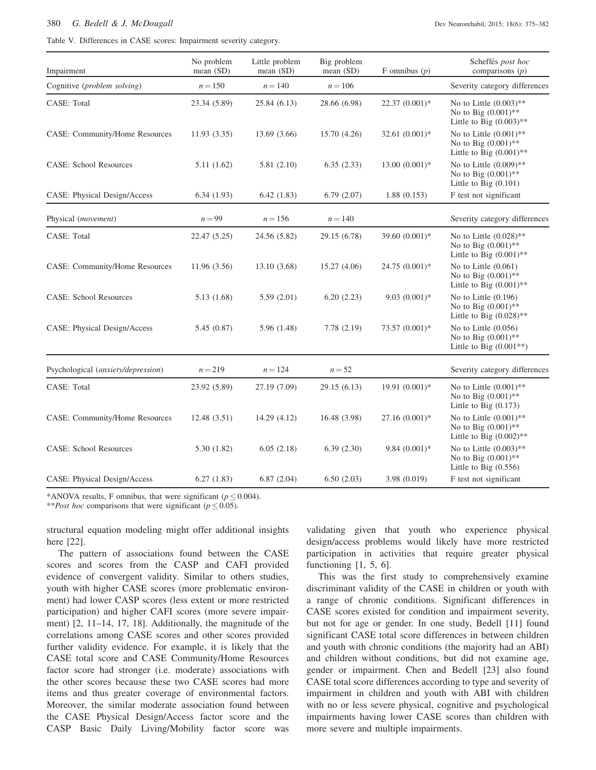#### <span id="page-7-0"></span>380 G. Bedell & J. McDougall Dev Neurorehabil, 2015; 18(6): 375-382

Table V. Differences in CASE scores: Impairment severity category.

| Impairment                         | No problem<br>mean (SD) | Little problem<br>mean $(SD)$ | Big problem<br>mean $(SD)$ | F omnibus $(p)$ | Scheffés post hoc<br>comparisons $(p)$                                            |
|------------------------------------|-------------------------|-------------------------------|----------------------------|-----------------|-----------------------------------------------------------------------------------|
| Cognitive (problem solving)        | $n = 150$               | $n = 140$                     | $n = 106$                  |                 | Severity category differences                                                     |
| CASE: Total                        | 23.34 (5.89)            | 25.84 (6.13)                  | 28.66 (6.98)               | 22.37 (0.001)*  | No to Little $(0.003)$ **<br>No to Big $(0.001)$ **<br>Little to Big $(0.003)$ ** |
| CASE: Community/Home Resources     | 11.93(3.35)             | 13.69 (3.66)                  | 15.70 (4.26)               | 32.61 (0.001)*  | No to Little $(0.001)$ **<br>No to Big $(0.001)$ **<br>Little to Big $(0.001)$ ** |
| <b>CASE: School Resources</b>      | 5.11(1.62)              | 5.81(2.10)                    | 6.35(2.33)                 | $13.00(0.001)*$ | No to Little $(0.009)$ **<br>No to Big $(0.001)$ **<br>Little to Big $(0.101)$    |
| CASE: Physical Design/Access       | 6.34(1.93)              | 6.42(1.83)                    | 6.79(2.07)                 | 1.88(0.153)     | F test not significant                                                            |
| Physical (movement)                | $n = 99$                | $n = 156$                     | $n = 140$                  |                 | Severity category differences                                                     |
| CASE: Total                        | 22.47 (5.25)            | 24.56 (5.82)                  | 29.15 (6.78)               | 39.60 (0.001)*  | No to Little $(0.028)$ **<br>No to Big $(0.001)$ **<br>Little to Big $(0.001)$ ** |
| CASE: Community/Home Resources     | 11.96 (3.56)            | 13.10 (3.68)                  | 15.27 (4.06)               | 24.75 (0.001)*  | No to Little $(0.061)$<br>No to Big $(0.001)$ **<br>Little to Big $(0.001)$ **    |
| <b>CASE: School Resources</b>      | 5.13 (1.68)             | 5.59(2.01)                    | 6.20(2.23)                 | $9.03(0.001)*$  | No to Little $(0.196)$<br>No to Big $(0.001)$ **<br>Little to Big $(0.028)$ **    |
| CASE: Physical Design/Access       | 5.45(0.87)              | 5.96 (1.48)                   | 7.78 (2.19)                | 73.57 (0.001)*  | No to Little $(0.056)$<br>No to Big $(0.001)$ **<br>Little to Big $(0.001**)$     |
| Psychological (anxiety/depression) | $n = 219$               | $n = 124$                     | $n = 52$                   |                 | Severity category differences                                                     |
| CASE: Total                        | 23.92 (5.89)            | 27.19 (7.09)                  | 29.15 (6.13)               | 19.91 (0.001)*  | No to Little $(0.001)$ **<br>No to Big $(0.001)$ **<br>Little to Big $(0.173)$    |
| CASE: Community/Home Resources     | 12.48(3.51)             | 14.29 (4.12)                  | 16.48 (3.98)               | $27.16(0.001)*$ | No to Little $(0.001)$ **<br>No to Big $(0.001)$ **<br>Little to Big $(0.002)$ ** |
| <b>CASE: School Resources</b>      | 5.30(1.82)              | 6.05(2.18)                    | 6.39(2.30)                 | $9.84(0.001)*$  | No to Little $(0.003)$ **<br>No to Big $(0.001)$ **<br>Little to Big $(0.556)$    |
| CASE: Physical Design/Access       | 6.27(1.83)              | 6.87(2.04)                    | 6.50(2.03)                 | 3.98 (0.019)    | F test not significant                                                            |

\*ANOVA results, F omnibus, that were significant ( $p \le 0.004$ ).

\*\**Post hoc* comparisons that were significant ( $p \le 0.05$ ).

structural equation modeling might offer additional insights here [[22\]](#page-9-0).

The pattern of associations found between the CASE scores and scores from the CASP and CAFI provided evidence of convergent validity. Similar to others studies, youth with higher CASE scores (more problematic environment) had lower CASP scores (less extent or more restricted participation) and higher CAFI scores (more severe impairment) [[2, 11–14, 17, 18\]](#page-9-0). Additionally, the magnitude of the correlations among CASE scores and other scores provided further validity evidence. For example, it is likely that the CASE total score and CASE Community/Home Resources factor score had stronger (i.e. moderate) associations with the other scores because these two CASE scores had more items and thus greater coverage of environmental factors. Moreover, the similar moderate association found between the CASE Physical Design/Access factor score and the CASP Basic Daily Living/Mobility factor score was validating given that youth who experience physical design/access problems would likely have more restricted participation in activities that require greater physical functioning [\[1](#page-9-0), [5, 6](#page-9-0)].

This was the first study to comprehensively examine discriminant validity of the CASE in children or youth with a range of chronic conditions. Significant differences in CASE scores existed for condition and impairment severity, but not for age or gender. In one study, Bedell [\[11](#page-9-0)] found significant CASE total score differences in between children and youth with chronic conditions (the majority had an ABI) and children without conditions, but did not examine age, gender or impairment. Chen and Bedell [[23\]](#page-9-0) also found CASE total score differences according to type and severity of impairment in children and youth with ABI with children with no or less severe physical, cognitive and psychological impairments having lower CASE scores than children with more severe and multiple impairments.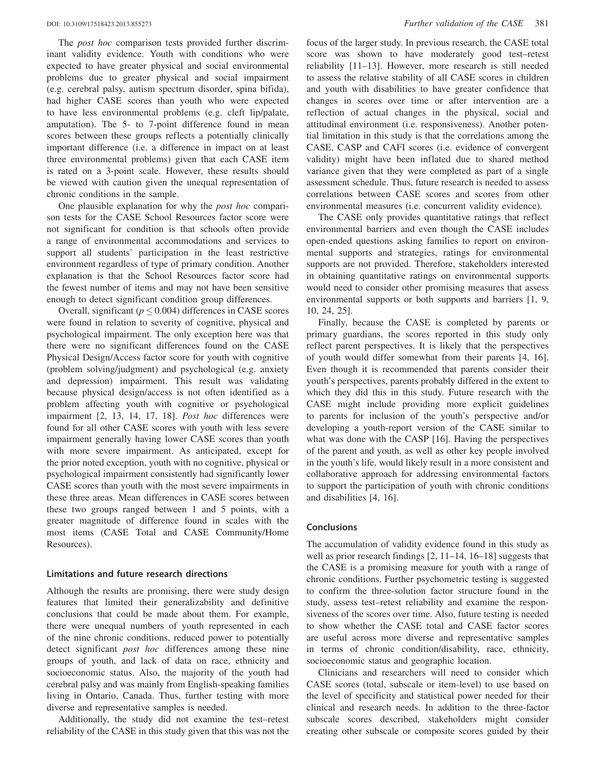The *post hoc* comparison tests provided further discriminant validity evidence. Youth with conditions who were expected to have greater physical and social environmental problems due to greater physical and social impairment (e.g. cerebral palsy, autism spectrum disorder, spina bifida), had higher CASE scores than youth who were expected to have less environmental problems (e.g. cleft lip/palate, amputation). The 5- to 7-point difference found in mean scores between these groups reflects a potentially clinically important difference (i.e. a difference in impact on at least three environmental problems) given that each CASE item is rated on a 3-point scale. However, these results should be viewed with caution given the unequal representation of chronic conditions in the sample.

One plausible explanation for why the post hoc comparison tests for the CASE School Resources factor score were not significant for condition is that schools often provide a range of environmental accommodations and services to support all students' participation in the least restrictive environment regardless of type of primary condition. Another explanation is that the School Resources factor score had the fewest number of items and may not have been sensitive enough to detect significant condition group differences.

Overall, significant ( $p \leq 0.004$ ) differences in CASE scores were found in relation to severity of cognitive, physical and psychological impairment. The only exception here was that there were no significant differences found on the CASE Physical Design/Access factor score for youth with cognitive (problem solving/judgment) and psychological (e.g. anxiety and depression) impairment. This result was validating because physical design/access is not often identified as a problem affecting youth with cognitive or psychological impairment [\[2](#page-9-0), [13](#page-9-0), [14, 17, 18](#page-9-0)]. Post hoc differences were found for all other CASE scores with youth with less severe impairment generally having lower CASE scores than youth with more severe impairment. As anticipated, except for the prior noted exception, youth with no cognitive, physical or psychological impairment consistently had significantly lower CASE scores than youth with the most severe impairments in these three areas. Mean differences in CASE scores between these two groups ranged between 1 and 5 points, with a greater magnitude of difference found in scales with the most items (CASE Total and CASE Community/Home Resources).

#### Limitations and future research directions

Although the results are promising, there were study design features that limited their generalizability and definitive conclusions that could be made about them. For example, there were unequal numbers of youth represented in each of the nine chronic conditions, reduced power to potentially detect significant *post hoc* differences among these nine groups of youth, and lack of data on race, ethnicity and socioeconomic status. Also, the majority of the youth had cerebral palsy and was mainly from English-speaking families living in Ontario, Canada. Thus, further testing with more diverse and representative samples is needed.

Additionally, the study did not examine the test–retest reliability of the CASE in this study given that this was not the focus of the larger study. In previous research, the CASE total score was shown to have moderately good test–retest reliability [[11–13\]](#page-9-0). However, more research is still needed to assess the relative stability of all CASE scores in children and youth with disabilities to have greater confidence that changes in scores over time or after intervention are a reflection of actual changes in the physical, social and attitudinal environment (i.e. responsiveness). Another potential limitation in this study is that the correlations among the CASE, CASP and CAFI scores (i.e. evidence of convergent validity) might have been inflated due to shared method variance given that they were completed as part of a single assessment schedule. Thus, future research is needed to assess correlations between CASE scores and scores from other environmental measures (i.e. concurrent validity evidence).

The CASE only provides quantitative ratings that reflect environmental barriers and even though the CASE includes open-ended questions asking families to report on environmental supports and strategies, ratings for environmental supports are not provided. Therefore, stakeholders interested in obtaining quantitative ratings on environmental supports would need to consider other promising measures that assess environmental supports or both supports and barriers [[1, 9](#page-9-0), [10, 24, 25](#page-9-0)].

Finally, because the CASE is completed by parents or primary guardians, the scores reported in this study only reflect parent perspectives. It is likely that the perspectives of youth would differ somewhat from their parents [[4, 16](#page-9-0)]. Even though it is recommended that parents consider their youth's perspectives, parents probably differed in the extent to which they did this in this study. Future research with the CASE might include providing more explicit guidelines to parents for inclusion of the youth's perspective and/or developing a youth-report version of the CASE similar to what was done with the CASP [[16\]](#page-9-0). Having the perspectives of the parent and youth, as well as other key people involved in the youth's life, would likely result in a more consistent and collaborative approach for addressing environmental factors to support the participation of youth with chronic conditions and disabilities [[4, 16](#page-9-0)].

#### **Conclusions**

The accumulation of validity evidence found in this study as well as prior research findings [\[2](#page-9-0), [11–14](#page-9-0), [16–18](#page-9-0)] suggests that the CASE is a promising measure for youth with a range of chronic conditions. Further psychometric testing is suggested to confirm the three-solution factor structure found in the study, assess test–retest reliability and examine the responsiveness of the scores over time. Also, future testing is needed to show whether the CASE total and CASE factor scores are useful across more diverse and representative samples in terms of chronic condition/disability, race, ethnicity, socioeconomic status and geographic location.

Clinicians and researchers will need to consider which CASE scores (total, subscale or item-level) to use based on the level of specificity and statistical power needed for their clinical and research needs. In addition to the three-factor subscale scores described, stakeholders might consider creating other subscale or composite scores guided by their